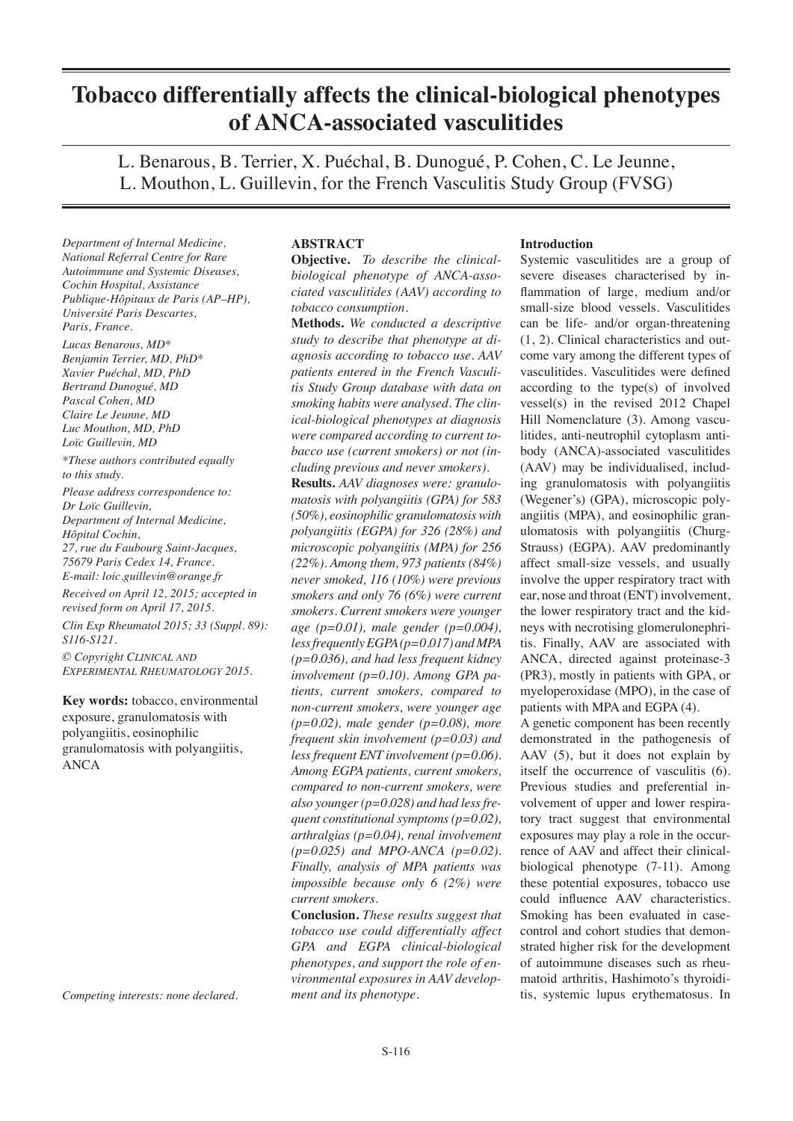# **Tobacco differentially affects the clinical-biological phenotypes of ANCA-associated vasculitides**

L. Benarous, B. Terrier, X. Puéchal, B. Dunogué, P. Cohen, C. Le Jeunne, L. Mouthon, L. Guillevin, for the French Vasculitis Study Group (FVSG)

*Department of Internal Medicine, National Referral Centre for Rare Autoimmune and Systemic Diseases, Cochin Hospital, Assistance Publique-Hôpitaux de Paris (AP–HP), Université Paris Descartes, Paris, France.*

*Lucas Benarous, MD\* Benjamin Terrier, MD, PhD\* Xavier Puéchal, MD, PhD Bertrand Dunogué, MD Pascal Cohen, MD Claire Le Jeunne, MD Luc Mouthon, MD, PhD Loïc Guillevin, MD*

*\*These authors contributed equally to this study.*

*Please address correspondence to: Dr Loïc Guillevin, Department of Internal Medicine, Hôpital Cochin, 27, rue du Faubourg Saint-Jacques, 75679 Paris Cedex 14, France. E-mail: loic.guillevin@orange.fr*

*Received on April 12, 2015; accepted in revised form on April 17, 2015.*

*Clin Exp Rheumatol 2015; 33 (Suppl. 89): S116-S121. © Copyright Clinical and*

*Experimental Rheumatology 2015.*

**Key words:** tobacco, environmental exposure, granulomatosis with polyangiitis, eosinophilic granulomatosis with polyangiitis, ANCA

*Competing interests: none declared.*

# **ABSTRACT**

**Objective.** *To describe the clinicalbiological phenotype of ANCA-associated vasculitides (AAV) according to tobacco consumption.*

**Methods.** *We conducted a descriptive study to describe that phenotype at diagnosis according to tobacco use. AAV patients entered in the French Vasculitis Study Group database with data on smoking habits were analysed. The clinical-biological phenotypes at diagnosis were compared according to current tobacco use (current smokers) or not (including previous and never smokers).*

**Results.** *AAV diagnoses were: granulomatosis with polyangiitis (GPA) for 583 (50%), eosinophilic granulomatosis with polyangiitis (EGPA) for 326 (28%) and microscopic polyangiitis (MPA) for 256 (22%). Among them, 973 patients (84%) never smoked, 116 (10%) were previous smokers and only 76 (6%) were current smokers. Current smokers were younger age (p=0.01), male gender (p=0.004), less frequently EGPA (p=0.017) and MPA (p=0.036), and had less frequent kidney involvement (p=0.10). Among GPA patients, current smokers, compared to non-current smokers, were younger age (p=0.02), male gender (p=0.08), more frequent skin involvement (p=0.03) and less frequent ENT involvement (p=0.06). Among EGPA patients, current smokers, compared to non-current smokers, were also younger (p=0.028) and had less frequent constitutional symptoms (p=0.02), arthralgias (p=0.04), renal involvement (p=0.025) and MPO-ANCA (p=0.02). Finally, analysis of MPA patients was impossible because only 6 (2%) were current smokers.* 

**Conclusion.** *These results suggest that tobacco use could differentially affect GPA and EGPA clinical-biological phenotypes, and support the role of environmental exposures in AAV development and its phenotype.*

#### **Introduction**

Systemic vasculitides are a group of severe diseases characterised by inflammation of large, medium and/or small-size blood vessels. Vasculitides can be life- and/or organ-threatening (1, 2). Clinical characteristics and outcome vary among the different types of vasculitides. Vasculitides were defined according to the type(s) of involved vessel(s) in the revised 2012 Chapel Hill Nomenclature (3). Among vasculitides, anti-neutrophil cytoplasm antibody (ANCA)-associated vasculitides (AAV) may be individualised, including granulomatosis with polyangiitis (Wegener's) (GPA), microscopic polyangiitis (MPA), and eosinophilic granulomatosis with polyangiitis (Churg-Strauss) (EGPA). AAV predominantly affect small-size vessels, and usually involve the upper respiratory tract with ear, nose and throat (ENT) involvement, the lower respiratory tract and the kidneys with necrotising glomerulonephritis. Finally, AAV are associated with ANCA, directed against proteinase-3 (PR3), mostly in patients with GPA, or myeloperoxidase (MPO), in the case of patients with MPA and EGPA (4).

A genetic component has been recently demonstrated in the pathogenesis of AAV (5), but it does not explain by itself the occurrence of vasculitis (6). Previous studies and preferential involvement of upper and lower respiratory tract suggest that environmental exposures may play a role in the occurrence of AAV and affect their clinicalbiological phenotype (7-11). Among these potential exposures, tobacco use could influence AAV characteristics. Smoking has been evaluated in casecontrol and cohort studies that demonstrated higher risk for the development of autoimmune diseases such as rheumatoid arthritis, Hashimoto's thyroiditis, systemic lupus erythematosus. In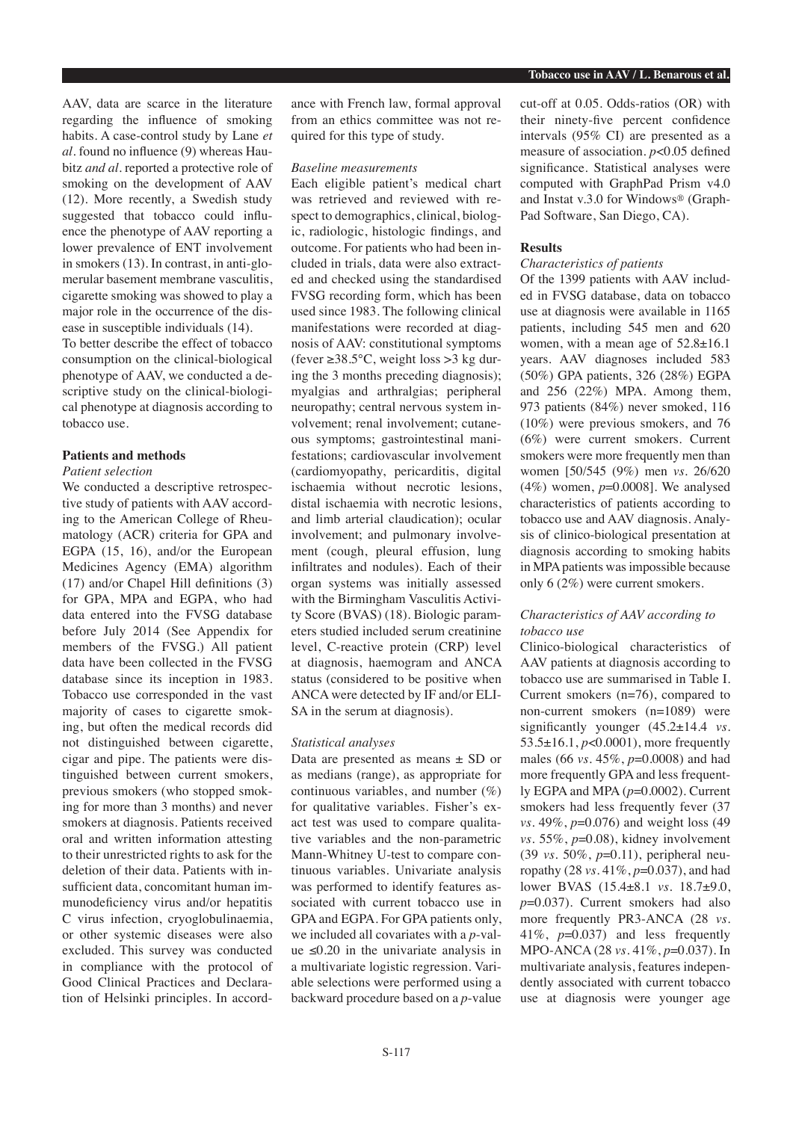AAV, data are scarce in the literature regarding the influence of smoking habits. A case-control study by Lane *et al.* found no influence (9) whereas Haubitz *and al.* reported a protective role of smoking on the development of AAV (12). More recently, a Swedish study suggested that tobacco could influence the phenotype of AAV reporting a lower prevalence of ENT involvement in smokers (13). In contrast, in anti-glomerular basement membrane vasculitis, cigarette smoking was showed to play a major role in the occurrence of the disease in susceptible individuals (14). To better describe the effect of tobacco consumption on the clinical-biological

phenotype of AAV, we conducted a descriptive study on the clinical-biological phenotype at diagnosis according to tobacco use.

# **Patients and methods**

#### *Patient selection*

We conducted a descriptive retrospective study of patients with AAV according to the American College of Rheumatology (ACR) criteria for GPA and EGPA (15, 16), and/or the European Medicines Agency (EMA) algorithm (17) and/or Chapel Hill definitions (3) for GPA, MPA and EGPA, who had data entered into the FVSG database before July 2014 (See Appendix for members of the FVSG.) All patient data have been collected in the FVSG database since its inception in 1983. Tobacco use corresponded in the vast majority of cases to cigarette smoking, but often the medical records did not distinguished between cigarette, cigar and pipe. The patients were distinguished between current smokers, previous smokers (who stopped smoking for more than 3 months) and never smokers at diagnosis. Patients received oral and written information attesting to their unrestricted rights to ask for the deletion of their data. Patients with insufficient data, concomitant human immunodeficiency virus and/or hepatitis C virus infection, cryoglobulinaemia, or other systemic diseases were also excluded. This survey was conducted in compliance with the protocol of Good Clinical Practices and Declaration of Helsinki principles. In accordance with French law, formal approval from an ethics committee was not required for this type of study.

### *Baseline measurements*

Each eligible patient's medical chart was retrieved and reviewed with respect to demographics, clinical, biologic, radiologic, histologic findings, and outcome. For patients who had been included in trials, data were also extracted and checked using the standardised FVSG recording form, which has been used since 1983. The following clinical manifestations were recorded at diagnosis of AAV: constitutional symptoms (fever  $\geq$ 38.5°C, weight loss  $>$ 3 kg during the 3 months preceding diagnosis); myalgias and arthralgias; peripheral neuropathy; central nervous system involvement; renal involvement; cutaneous symptoms; gastrointestinal manifestations; cardiovascular involvement (cardiomyopathy, pericarditis, digital ischaemia without necrotic lesions, distal ischaemia with necrotic lesions, and limb arterial claudication); ocular involvement; and pulmonary involvement (cough, pleural effusion, lung infiltrates and nodules). Each of their organ systems was initially assessed with the Birmingham Vasculitis Activity Score (BVAS) (18). Biologic parameters studied included serum creatinine level, C-reactive protein (CRP) level at diagnosis, haemogram and ANCA status (considered to be positive when ANCA were detected by IF and/or ELI-SA in the serum at diagnosis).

#### *Statistical analyses*

Data are presented as means  $\pm$  SD or as medians (range), as appropriate for continuous variables, and number (%) for qualitative variables. Fisher's exact test was used to compare qualitative variables and the non-parametric Mann-Whitney U-test to compare continuous variables. Univariate analysis was performed to identify features associated with current tobacco use in GPA and EGPA. For GPA patients only, we included all covariates with a *p*-value  $\leq 0.20$  in the univariate analysis in a multivariate logistic regression. Variable selections were performed using a backward procedure based on a *p*-value cut-off at 0.05. Odds-ratios (OR) with their ninety-five percent confidence intervals (95% CI) are presented as a measure of association. *p*<0.05 defined significance. Statistical analyses were computed with GraphPad Prism v4.0 and Instat v.3.0 for Windows® (Graph-Pad Software, San Diego, CA).

# **Results**

#### *Characteristics of patients*

Of the 1399 patients with AAV included in FVSG database, data on tobacco use at diagnosis were available in 1165 patients, including 545 men and 620 women, with a mean age of 52.8±16.1 years. AAV diagnoses included 583 (50%) GPA patients, 326 (28%) EGPA and 256 (22%) MPA. Among them, 973 patients (84%) never smoked, 116 (10%) were previous smokers, and 76 (6%) were current smokers. Current smokers were more frequently men than women [50/545 (9%) men *vs.* 26/620 (4%) women, *p*=0.0008]. We analysed characteristics of patients according to tobacco use and AAV diagnosis. Analysis of clinico-biological presentation at diagnosis according to smoking habits in MPA patients was impossible because only 6 (2%) were current smokers.

# *Characteristics of AAV according to tobacco use*

Clinico-biological characteristics of AAV patients at diagnosis according to tobacco use are summarised in Table I. Current smokers (n=76), compared to non-current smokers (n=1089) were significantly younger (45.2±14.4 *vs.*  53.5±16.1, *p*<0.0001), more frequently males (66 *vs.* 45%, *p*=0.0008) and had more frequently GPA and less frequently EGPA and MPA (*p*=0.0002). Current smokers had less frequently fever (37 *vs.* 49%, *p*=0.076) and weight loss (49 *vs.* 55%, *p*=0.08), kidney involvement (39 *vs.* 50%, *p*=0.11), peripheral neuropathy (28 *vs.* 41%, *p*=0.037), and had lower BVAS (15.4±8.1 *vs.* 18.7±9.0, *p*=0.037). Current smokers had also more frequently PR3-ANCA (28 *vs.*  41%, *p*=0.037) and less frequently MPO-ANCA (28 *vs.* 41%, *p*=0.037). In multivariate analysis, features independently associated with current tobacco use at diagnosis were younger age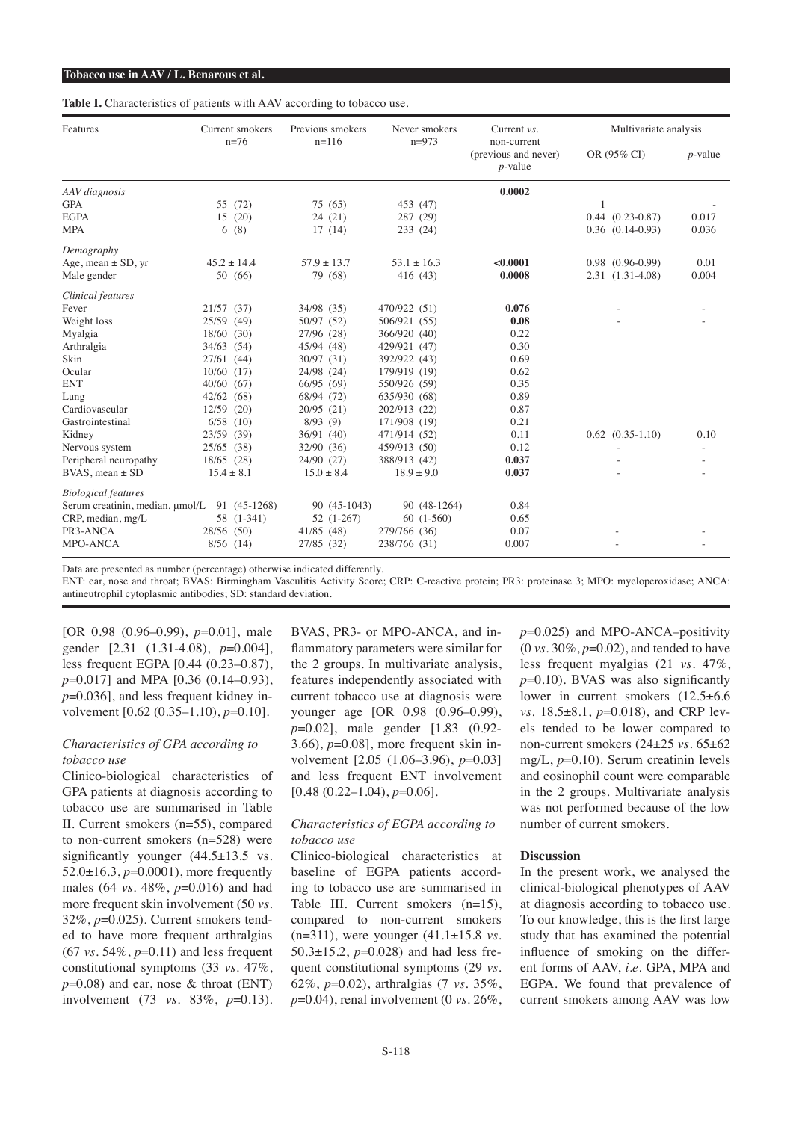#### **Tobacco use in AAV / L. Benarous et al.**

**Table I.** Characteristics of patients with AAV according to tobacco use.

| Features                        | Current smokers |                 | Previous smokers | Never smokers   | Current $vs.$                                     | Multivariate analysis |            |
|---------------------------------|-----------------|-----------------|------------------|-----------------|---------------------------------------------------|-----------------------|------------|
|                                 | $n=76$          |                 | $n=116$          | $n=973$         | non-current<br>(previous and never)<br>$p$ -value | OR (95% CI)           | $p$ -value |
| AAV diagnosis                   |                 |                 |                  |                 | 0.0002                                            |                       |            |
| <b>GPA</b>                      |                 | 55 (72)         | 75 (65)          | 453 (47)        |                                                   | 1                     |            |
| <b>EGPA</b>                     | 15              | (20)            | 24(21)           | 287 (29)        |                                                   | $0.44$ $(0.23-0.87)$  | 0.017      |
| <b>MPA</b>                      | 6               | (8)             | 17(14)           | 233 (24)        |                                                   | $0.36$ $(0.14-0.93)$  | 0.036      |
| Demography                      |                 |                 |                  |                 |                                                   |                       |            |
| Age, mean $\pm$ SD, yr          |                 | $45.2 \pm 14.4$ | $57.9 + 13.7$    | $53.1 \pm 16.3$ | < 0.0001                                          | $0.98$ $(0.96-0.99)$  | 0.01       |
| Male gender                     |                 | 50 (66)         | 79 (68)          | 416 (43)        | 0.0008                                            | 2.31 (1.31-4.08)      | 0.004      |
| Clinical features               |                 |                 |                  |                 |                                                   |                       |            |
| Fever                           | $21/57$ (37)    |                 | 34/98 (35)       | 470/922 (51)    | 0.076                                             |                       |            |
| Weight loss                     | 25/59 (49)      |                 | 50/97 (52)       | 506/921 (55)    | 0.08                                              |                       |            |
| Myalgia                         | $18/60$ (30)    |                 | 27/96 (28)       | 366/920 (40)    | 0.22                                              |                       |            |
| Arthralgia                      | $34/63$ (54)    |                 | 45/94 (48)       | 429/921 (47)    | 0.30                                              |                       |            |
| Skin                            | $27/61$ (44)    |                 | 30/97 (31)       | 392/922 (43)    | 0.69                                              |                       |            |
| Ocular                          | $10/60$ (17)    |                 | 24/98 (24)       | 179/919 (19)    | 0.62                                              |                       |            |
| <b>ENT</b>                      | $40/60$ (67)    |                 | 66/95 (69)       | 550/926 (59)    | 0.35                                              |                       |            |
| Lung                            | $42/62$ (68)    |                 | 68/94 (72)       | 635/930 (68)    | 0.89                                              |                       |            |
| Cardiovascular                  | 12/59           | (20)            | 20/95(21)        | 202/913 (22)    | 0.87                                              |                       |            |
| Gastrointestinal                | $6/58$ (10)     |                 | 8/93(9)          | 171/908 (19)    | 0.21                                              |                       |            |
| Kidney                          | 23/59 (39)      |                 | 36/91 (40)       | 471/914 (52)    | 0.11                                              | $0.62$ $(0.35-1.10)$  | 0.10       |
| Nervous system                  | $25/65$ (38)    |                 | 32/90 (36)       | 459/913 (50)    | 0.12                                              |                       |            |
| Peripheral neuropathy           | 18/65 (28)      |                 | 24/90 (27)       | 388/913 (42)    | 0.037                                             |                       |            |
| $BVAS$ , mean $\pm SD$          | $15.4 \pm 8.1$  |                 | $15.0 \pm 8.4$   | $18.9 \pm 9.0$  | 0.037                                             |                       |            |
| <b>Biological</b> features      |                 |                 |                  |                 |                                                   |                       |            |
| Serum creatinin, median, µmol/L |                 | 91 (45-1268)    | 90 (45-1043)     | 90 (48-1264)    | 0.84                                              |                       |            |
| CRP, median, mg/L               |                 | 58 (1-341)      | $52(1-267)$      | $60(1-560)$     | 0.65                                              |                       |            |
| PR3-ANCA                        | 28/56 (50)      |                 | 41/85(48)        | 279/766 (36)    | 0.07                                              |                       |            |
| <b>MPO-ANCA</b>                 |                 | $8/56$ (14)     | 27/85 (32)       | 238/766 (31)    | 0.007                                             |                       |            |

Data are presented as number (percentage) otherwise indicated differently.

ENT: ear, nose and throat; BVAS: Birmingham Vasculitis Activity Score; CRP: C-reactive protein; PR3: proteinase 3; MPO: myeloperoxidase; ANCA: antineutrophil cytoplasmic antibodies; SD: standard deviation.

[OR 0.98 (0.96–0.99), *p*=0.01], male gender [2.31 (1.31-4.08), *p*=0.004], less frequent EGPA [0.44 (0.23–0.87), *p*=0.017] and MPA [0.36 (0.14–0.93), *p*=0.036], and less frequent kidney involvement [0.62 (0.35–1.10), *p*=0.10].

# *Characteristics of GPA according to tobacco use*

Clinico-biological characteristics of GPA patients at diagnosis according to tobacco use are summarised in Table II. Current smokers (n=55), compared to non-current smokers (n=528) were significantly younger  $(44.5 \pm 13.5 \text{ vs.}$ 52.0±16.3, *p*=0.0001), more frequently males (64 *vs.* 48%, *p*=0.016) and had more frequent skin involvement (50 *vs.*  32%, *p*=0.025). Current smokers tended to have more frequent arthralgias (67 *vs.* 54%, *p*=0.11) and less frequent constitutional symptoms (33 *vs.* 47%,  $p=0.08$ ) and ear, nose & throat (ENT) involvement (73 *vs.* 83%, *p*=0.13).

BVAS, PR3- or MPO-ANCA, and inflammatory parameters were similar for the 2 groups. In multivariate analysis, features independently associated with current tobacco use at diagnosis were younger age [OR 0.98 (0.96–0.99), *p*=0.02], male gender [1.83 (0.92- 3.66), *p*=0.08], more frequent skin involvement [2.05 (1.06–3.96), *p*=0.03] and less frequent ENT involvement [0.48 (0.22–1.04),  $p=0.06$ ].

# *Characteristics of EGPA according to tobacco use*

Clinico-biological characteristics at baseline of EGPA patients according to tobacco use are summarised in Table III. Current smokers (n=15), compared to non-current smokers (n=311), were younger (41.1±15.8 *vs.*  50.3±15.2, *p*=0.028) and had less frequent constitutional symptoms (29 *vs.*  62%, *p*=0.02), arthralgias (7 *vs.* 35%, *p*=0.04), renal involvement (0 *vs.* 26%, *p*=0.025) and MPO-ANCA–positivity (0 *vs.* 30%, *p*=0.02), and tended to have less frequent myalgias (21 *vs.* 47%, *p*=0.10). BVAS was also significantly lower in current smokers (12.5±6.6 *vs.* 18.5±8.1, *p*=0.018), and CRP levels tended to be lower compared to non-current smokers (24±25 *vs.* 65±62 mg/L, *p*=0.10). Serum creatinin levels and eosinophil count were comparable in the 2 groups. Multivariate analysis was not performed because of the low number of current smokers.

#### **Discussion**

In the present work, we analysed the clinical-biological phenotypes of AAV at diagnosis according to tobacco use. To our knowledge, this is the first large study that has examined the potential influence of smoking on the different forms of AAV, *i.e.* GPA, MPA and EGPA. We found that prevalence of current smokers among AAV was low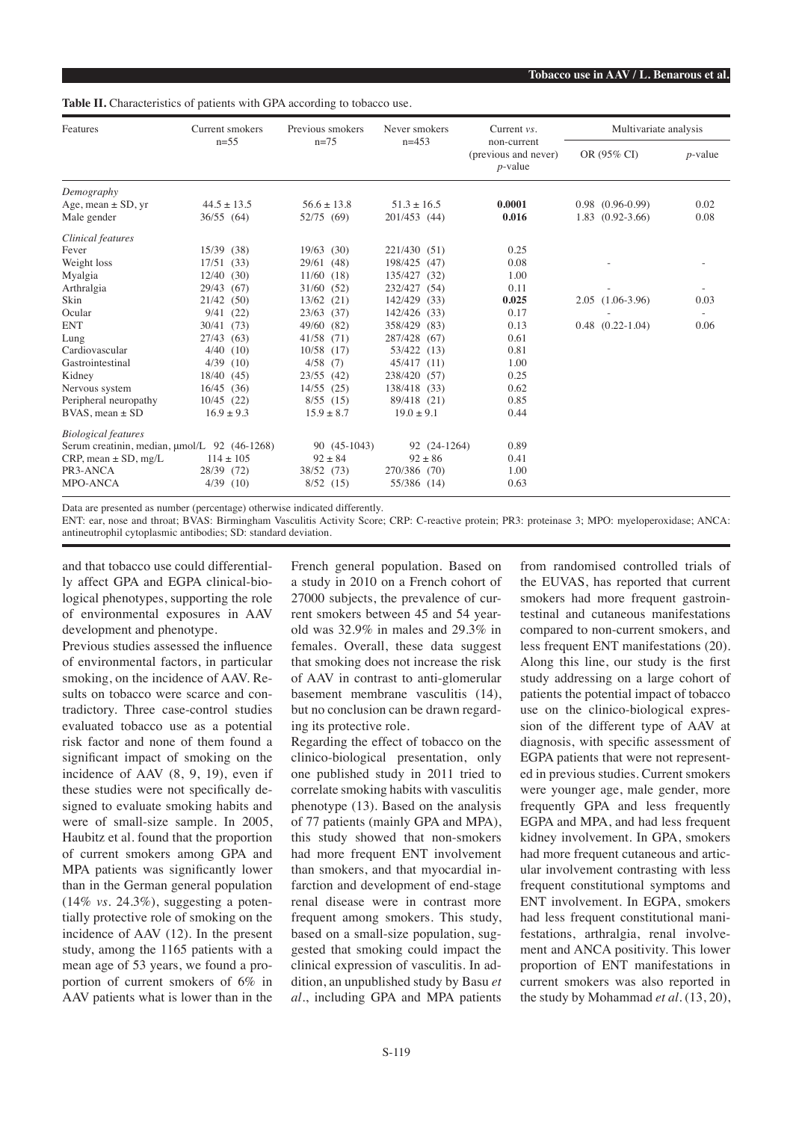#### **Table II.** Characteristics of patients with GPA according to tobacco use.

| Features                                     | Current smokers                                          | Previous smokers | Never smokers        | Current $vs.$ | Multivariate analysis |                        |      |
|----------------------------------------------|----------------------------------------------------------|------------------|----------------------|---------------|-----------------------|------------------------|------|
|                                              | $n=55$<br>$n=75$<br>$n=453$<br>non-current<br>$p$ -value |                  | (previous and never) | OR (95% CI)   |                       | $p$ -value             |      |
| Demography                                   |                                                          |                  |                      |               |                       |                        |      |
| Age, mean $\pm$ SD, yr                       | $44.5 \pm 13.5$                                          | $56.6 \pm 13.8$  | $51.3 \pm 16.5$      | 0.0001        |                       | $0.98$ $(0.96-0.99)$   | 0.02 |
| Male gender                                  | 36/55 (64)                                               | 52/75 (69)       | 201/453 (44)         | 0.016         | 1.83                  | $(0.92 - 3.66)$        | 0.08 |
| Clinical features                            |                                                          |                  |                      |               |                       |                        |      |
| Fever                                        | 15/39<br>(38)                                            | $19/63$ (30)     | 221/430 (51)         | 0.25          |                       |                        |      |
| Weight loss                                  | 17/51<br>(33)                                            | 29/61 (48)       | 198/425<br>(47)      | 0.08          |                       |                        |      |
| Myalgia                                      | $12/40$ (30)                                             | $11/60$ (18)     | 135/427<br>(32)      | 1.00          |                       |                        |      |
| Arthralgia                                   | 29/43<br>(67)                                            | 31/60 (52)       | 232/427<br>(54)      | 0.11          |                       |                        |      |
| Skin                                         | 21/42<br>(50)                                            | $13/62$ (21)     | 142/429<br>(33)      | 0.025         |                       | $2.05(1.06-3.96)$      | 0.03 |
| Ocular                                       | 9/41<br>(22)                                             | $23/63$ (37)     | 142/426<br>(33)      | 0.17          |                       |                        |      |
| <b>ENT</b>                                   | 30/41<br>(73)                                            | 49/60 (82)       | 358/429<br>(83)      | 0.13          |                       | $0.48$ $(0.22 - 1.04)$ | 0.06 |
| Lung                                         | 27/43<br>(63)                                            | 41/58 (71)       | 287/428<br>(67)      | 0.61          |                       |                        |      |
| Cardiovascular                               | 4/40<br>(10)                                             | 10/58 (17)       | 53/422 (13)          | 0.81          |                       |                        |      |
| Gastrointestinal                             | 4/39<br>(10)                                             | $4/58$ (7)       | 45/417 (11)          | 1.00          |                       |                        |      |
| Kidney                                       | 18/40 (45)                                               | $23/55$ (42)     | 238/420<br>(57)      | 0.25          |                       |                        |      |
| Nervous system                               | 16/45<br>(36)                                            | $14/55$ (25)     | 138/418 (33)         | 0.62          |                       |                        |      |
| Peripheral neuropathy                        | $10/45$ (22)                                             | $8/55$ (15)      | 89/418 (21)          | 0.85          |                       |                        |      |
| $BVAS$ , mean $\pm SD$                       | $16.9 \pm 9.3$                                           | $15.9 \pm 8.7$   | $19.0 \pm 9.1$       | 0.44          |                       |                        |      |
| <b>Biological features</b>                   |                                                          |                  |                      |               |                       |                        |      |
| Serum creatinin, median, umol/L 92 (46-1268) |                                                          | 90 (45-1043)     | 92 (24-1264)         | 0.89          |                       |                        |      |
| $CRP$ , mean $\pm$ SD, mg/L                  | $114 \pm 105$                                            | $92 \pm 84$      | $92 \pm 86$          | 0.41          |                       |                        |      |
| PR3-ANCA                                     | 28/39 (72)                                               | 38/52 (73)       | 270/386 (70)         | 1.00          |                       |                        |      |
| <b>MPO-ANCA</b>                              | 4/39<br>(10)                                             | $8/52$ (15)      | 55/386 (14)          | 0.63          |                       |                        |      |

Data are presented as number (percentage) otherwise indicated differently.

ENT: ear, nose and throat; BVAS: Birmingham Vasculitis Activity Score; CRP: C-reactive protein; PR3: proteinase 3; MPO: myeloperoxidase; ANCA: antineutrophil cytoplasmic antibodies; SD: standard deviation.

and that tobacco use could differentially affect GPA and EGPA clinical-biological phenotypes, supporting the role of environmental exposures in AAV development and phenotype.

Previous studies assessed the influence of environmental factors, in particular smoking, on the incidence of AAV. Results on tobacco were scarce and contradictory. Three case-control studies evaluated tobacco use as a potential risk factor and none of them found a significant impact of smoking on the incidence of AAV (8, 9, 19), even if these studies were not specifically designed to evaluate smoking habits and were of small-size sample. In 2005, Haubitz et al. found that the proportion of current smokers among GPA and MPA patients was significantly lower than in the German general population (14% *vs.* 24.3%), suggesting a potentially protective role of smoking on the incidence of AAV (12). In the present study, among the 1165 patients with a mean age of 53 years, we found a proportion of current smokers of 6% in AAV patients what is lower than in the

French general population. Based on a study in 2010 on a French cohort of 27000 subjects, the prevalence of current smokers between 45 and 54 yearold was 32.9% in males and 29.3% in females. Overall, these data suggest that smoking does not increase the risk of AAV in contrast to anti-glomerular basement membrane vasculitis (14), but no conclusion can be drawn regarding its protective role.

Regarding the effect of tobacco on the clinico-biological presentation, only one published study in 2011 tried to correlate smoking habits with vasculitis phenotype (13). Based on the analysis of 77 patients (mainly GPA and MPA), this study showed that non-smokers had more frequent ENT involvement than smokers, and that myocardial infarction and development of end-stage renal disease were in contrast more frequent among smokers. This study, based on a small-size population, suggested that smoking could impact the clinical expression of vasculitis. In addition, an unpublished study by Basu *et al.*, including GPA and MPA patients

from randomised controlled trials of the EUVAS, has reported that current smokers had more frequent gastrointestinal and cutaneous manifestations compared to non-current smokers, and less frequent ENT manifestations (20). Along this line, our study is the first study addressing on a large cohort of patients the potential impact of tobacco use on the clinico-biological expression of the different type of AAV at diagnosis, with specific assessment of EGPA patients that were not represented in previous studies. Current smokers were younger age, male gender, more frequently GPA and less frequently EGPA and MPA, and had less frequent kidney involvement. In GPA, smokers had more frequent cutaneous and articular involvement contrasting with less frequent constitutional symptoms and ENT involvement. In EGPA, smokers had less frequent constitutional manifestations, arthralgia, renal involvement and ANCA positivity. This lower proportion of ENT manifestations in current smokers was also reported in the study by Mohammad *et al.* (13, 20),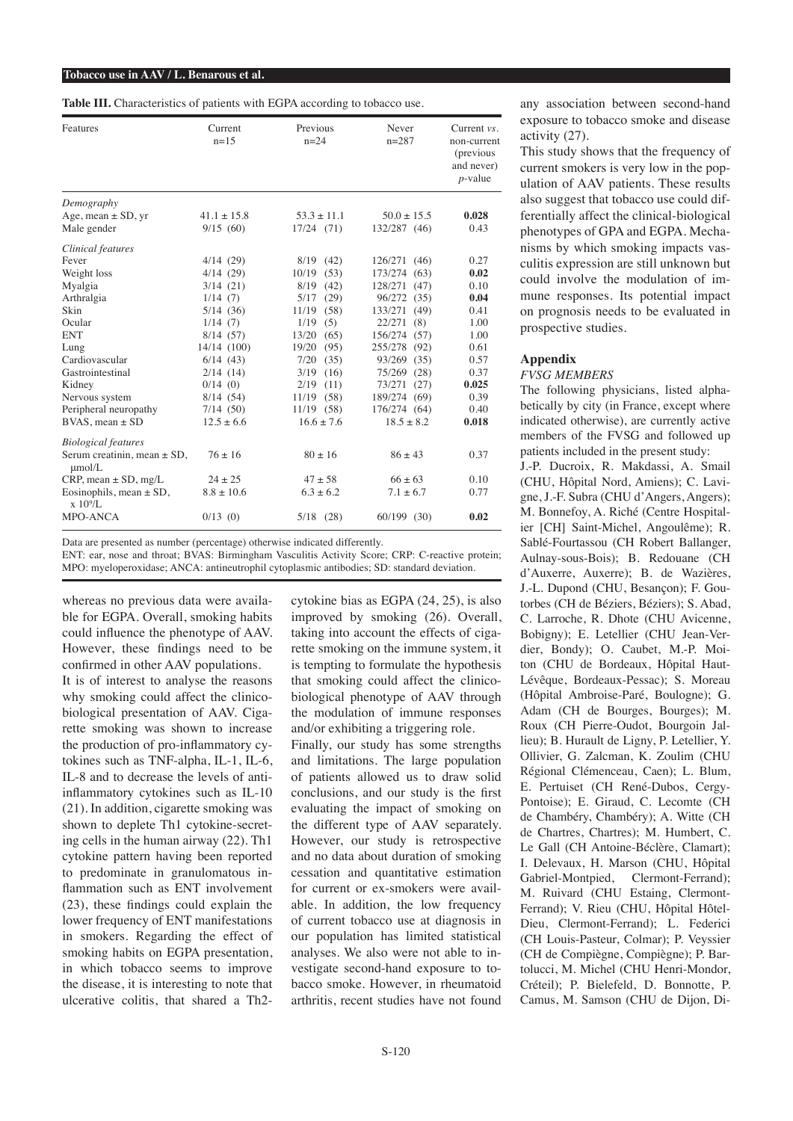#### **Tobacco use in AAV / L. Benarous et al.**

**Table III.** Characteristics of patients with EGPA according to tobacco use.

| Features                                                   | Current<br>$n=15$ | Previous<br>$n = 24$ | Never<br>$n = 287$ | Current $vs.$<br>non-current<br>(previous)<br>and never)<br>$p$ -value |
|------------------------------------------------------------|-------------------|----------------------|--------------------|------------------------------------------------------------------------|
| Demography                                                 |                   |                      |                    |                                                                        |
| Age, mean $\pm$ SD, yr                                     | $41.1 + 15.8$     | $53.3 + 11.1$        | $50.0 + 15.5$      | 0.028                                                                  |
| Male gender                                                | 9/15(60)          | $17/24$ (71)         | 132/287 (46)       | 0.43                                                                   |
| Clinical features                                          |                   |                      |                    |                                                                        |
| Fever                                                      | 4/14(29)          | 8/19<br>(42)         | 126/271 (46)       | 0.27                                                                   |
| Weight loss                                                | 4/14(29)          | (53)<br>10/19        | 173/274 (63)       | 0.02                                                                   |
| Myalgia                                                    | 3/14(21)          | 8/19<br>(42)         | 128/271 (47)       | 0.10                                                                   |
| Arthralgia                                                 | 1/14(7)           | 5/17<br>(29)         | 96/272<br>(35)     | 0.04                                                                   |
| <b>Skin</b>                                                | 5/14(36)          | 11/19<br>(58)        | 133/271<br>(49)    | 0.41                                                                   |
| Ocular                                                     | 1/14(7)           | 1/19<br>(5)          | 22/271<br>(8)      | 1.00                                                                   |
| <b>ENT</b>                                                 | 8/14(57)          | 13/20<br>(65)        | 156/274 (57)       | 1.00                                                                   |
| Lung                                                       | 14/14 (100)       | 19/20<br>(95)        | 255/278 (92)       | 0.61                                                                   |
| Cardiovascular                                             | 6/14(43)          | 7/20<br>(35)         | 93/269 (35)        | 0.57                                                                   |
| Gastrointestinal                                           | 2/14(14)          | (16)<br>3/19         | 75/269 (28)        | 0.37                                                                   |
| Kidney                                                     | 0/14(0)           | 2/19<br>(11)         | 73/271 (27)        | 0.025                                                                  |
| Nervous system                                             | 8/14(54)          | $11/19$ (58)         | 189/274 (69)       | 0.39                                                                   |
| Peripheral neuropathy                                      | 7/14(50)          | $11/19$ (58)         | 176/274 (64)       | 0.40                                                                   |
| $BVAS$ , mean $\pm SD$                                     | $12.5 + 6.6$      | $16.6 + 7.6$         | $18.5 + 8.2$       | 0.018                                                                  |
| <b>Biological features</b>                                 |                   |                      |                    |                                                                        |
| Serum creatinin, mean $\pm$ SD,<br>$\mu$ mol/L             | $76 + 16$         | $80 \pm 16$          | $86 + 43$          | 0.37                                                                   |
| $CRP$ , mean $\pm$ SD, mg/L                                | $24 + 25$         | $47 + 58$            | $66 + 63$          | 0.10                                                                   |
| Eosinophils, mean $\pm$ SD,<br>$\rm x 10\frac{9}{\rm L}$ . | $8.8 \pm 10.6$    | $6.3 \pm 6.2$        | $7.1 + 6.7$        | 0.77                                                                   |
| MPO-ANCA                                                   | $0/13$ (0)        | $5/18$ (28)          | 60/199 (30)        | 0.02                                                                   |

Data are presented as number (percentage) otherwise indicated differently.

ENT: ear, nose and throat; BVAS: Birmingham Vasculitis Activity Score; CRP: C-reactive protein; MPO: myeloperoxidase; ANCA: antineutrophil cytoplasmic antibodies; SD: standard deviation.

whereas no previous data were available for EGPA. Overall, smoking habits could influence the phenotype of AAV. However, these findings need to be confirmed in other AAV populations. It is of interest to analyse the reasons why smoking could affect the clinicobiological presentation of AAV. Cigarette smoking was shown to increase the production of pro-inflammatory cytokines such as TNF-alpha, IL-1, IL-6, IL-8 and to decrease the levels of antiinflammatory cytokines such as IL-10 (21). In addition, cigarette smoking was shown to deplete Th1 cytokine-secreting cells in the human airway (22). Th1 cytokine pattern having been reported to predominate in granulomatous inflammation such as ENT involvement (23), these findings could explain the lower frequency of ENT manifestations in smokers. Regarding the effect of smoking habits on EGPA presentation, in which tobacco seems to improve the disease, it is interesting to note that ulcerative colitis, that shared a Th2cytokine bias as EGPA (24, 25), is also improved by smoking (26). Overall, taking into account the effects of cigarette smoking on the immune system, it is tempting to formulate the hypothesis that smoking could affect the clinicobiological phenotype of AAV through the modulation of immune responses and/or exhibiting a triggering role.

Finally, our study has some strengths and limitations. The large population of patients allowed us to draw solid conclusions, and our study is the first evaluating the impact of smoking on the different type of AAV separately. However, our study is retrospective and no data about duration of smoking cessation and quantitative estimation for current or ex-smokers were available. In addition, the low frequency of current tobacco use at diagnosis in our population has limited statistical analyses. We also were not able to investigate second-hand exposure to tobacco smoke. However, in rheumatoid arthritis, recent studies have not found

any association between second-hand exposure to tobacco smoke and disease activity (27).

This study shows that the frequency of current smokers is very low in the population of AAV patients. These results also suggest that tobacco use could differentially affect the clinical-biological phenotypes of GPA and EGPA. Mechanisms by which smoking impacts vasculitis expression are still unknown but could involve the modulation of immune responses. Its potential impact on prognosis needs to be evaluated in prospective studies.

# **Appendix**

# *FVSG MEMBERS*

The following physicians, listed alphabetically by city (in France, except where indicated otherwise), are currently active members of the FVSG and followed up patients included in the present study:

J.-P. Ducroix, R. Makdassi, A. Smail (CHU, Hôpital Nord, Amiens); C. Lavigne, J.-F. Subra (CHU d'Angers, Angers); M. Bonnefoy, A. Riché (Centre Hospitalier [CH] Saint-Michel, Angoulême); R. Sablé-Fourtassou (CH Robert Ballanger, Aulnay-sous-Bois); B. Redouane (CH d'Auxerre, Auxerre); B. de Wazières, J.-L. Dupond (CHU, Besançon); F. Goutorbes (CH de Béziers, Béziers); S. Abad, C. Larroche, R. Dhote (CHU Avicenne, Bobigny); E. Letellier (CHU Jean-Verdier, Bondy); O. Caubet, M.-P. Moiton (CHU de Bordeaux, Hôpital Haut-Lévêque, Bordeaux-Pessac); S. Moreau (Hôpital Ambroise-Paré, Boulogne); G. Adam (CH de Bourges, Bourges); M. Roux (CH Pierre-Oudot, Bourgoin Jallieu); B. Hurault de Ligny, P. Letellier, Y. Ollivier, G. Zalcman, K. Zoulim (CHU Régional Clémenceau, Caen); L. Blum, E. Pertuiset (CH René-Dubos, Cergy-Pontoise); E. Giraud, C. Lecomte (CH de Chambéry, Chambéry); A. Witte (CH de Chartres, Chartres); M. Humbert, C. Le Gall (CH Antoine-Béclère, Clamart); I. Delevaux, H. Marson (CHU, Hôpital Gabriel-Montpied, Clermont-Ferrand); M. Ruivard (CHU Estaing, Clermont-Ferrand); V. Rieu (CHU, Hôpital Hôtel-Dieu, Clermont-Ferrand); L. Federici (CH Louis-Pasteur, Colmar); P. Veyssier (CH de Compiègne, Compiègne); P. Bartolucci, M. Michel (CHU Henri-Mondor, Créteil); P. Bielefeld, D. Bonnotte, P. Camus, M. Samson (CHU de Dijon, Di